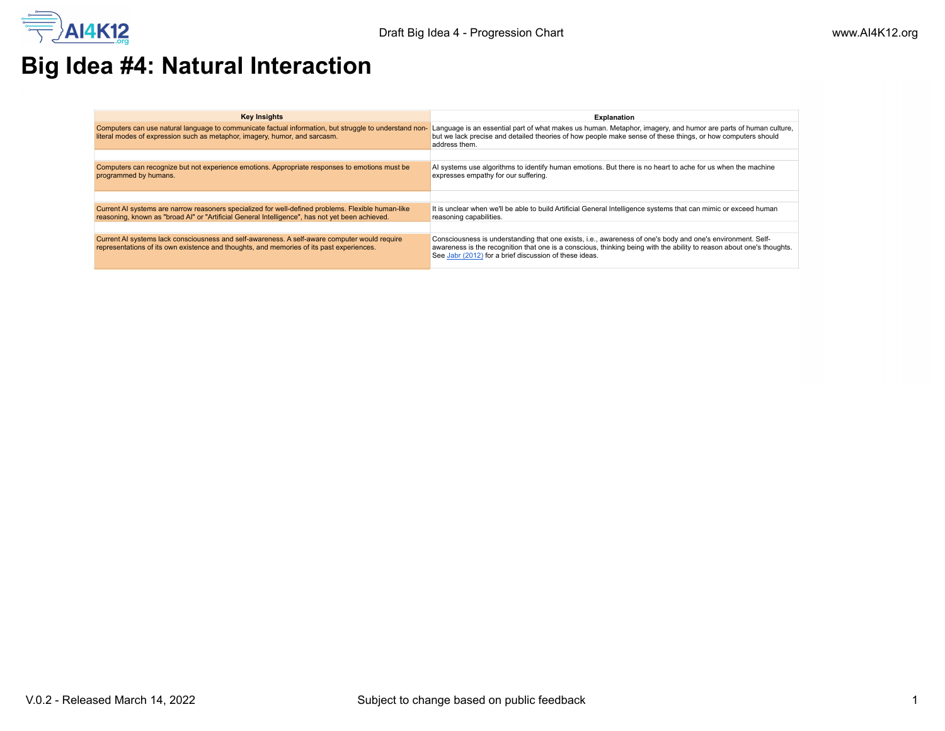

## **Big Idea #4: Natural Interaction**

| <b>Key Insights</b>                                                                                                                                                                                   | <b>Explanation</b>                                                                                                                                                                                                                                                                            |
|-------------------------------------------------------------------------------------------------------------------------------------------------------------------------------------------------------|-----------------------------------------------------------------------------------------------------------------------------------------------------------------------------------------------------------------------------------------------------------------------------------------------|
| Computers can use natural language to communicate factual information, but struggle to understand non-<br>literal modes of expression such as metaphor, imagery, humor, and sarcasm.                  | Language is an essential part of what makes us human. Metaphor, imagery, and humor are parts of human culture,<br>but we lack precise and detailed theories of how people make sense of these things, or how computers should<br>address them.                                                |
|                                                                                                                                                                                                       |                                                                                                                                                                                                                                                                                               |
| Computers can recognize but not experience emotions. Appropriate responses to emotions must be<br>programmed by humans.                                                                               | Al systems use algorithms to identify human emotions. But there is no heart to ache for us when the machine<br>expresses empathy for our suffering.                                                                                                                                           |
|                                                                                                                                                                                                       |                                                                                                                                                                                                                                                                                               |
| Current AI systems are narrow reasoners specialized for well-defined problems. Flexible human-like<br>reasoning, known as "broad AI" or "Artificial General Intelligence", has not yet been achieved. | It is unclear when we'll be able to build Artificial General Intelligence systems that can mimic or exceed human<br>reasoning capabilities.                                                                                                                                                   |
|                                                                                                                                                                                                       |                                                                                                                                                                                                                                                                                               |
| Current AI systems lack consciousness and self-awareness. A self-aware computer would require<br>representations of its own existence and thoughts, and memories of its past experiences.             | Consciousness is understanding that one exists, i.e., awareness of one's body and one's environment. Self-<br>awareness is the recognition that one is a conscious, thinking being with the ability to reason about one's thoughts.<br>See Jabr (2012) for a brief discussion of these ideas. |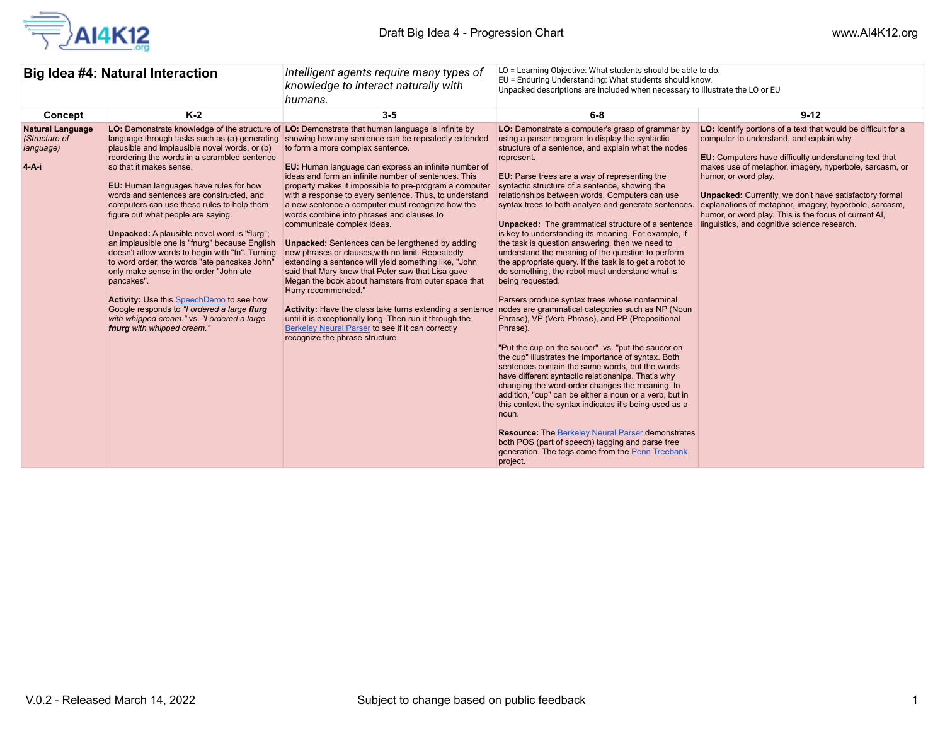

| Big Idea #4: Natural Interaction                               |                                                                                                                                                                                                                                                                                                                                                                                                                                                                                                                                                                                                                                                                                                                                                                                                | LO = Learning Objective: What students should be able to do.<br>Intelligent agents require many types of<br>EU = Enduring Understanding: What students should know.<br>knowledge to interact naturally with<br>Unpacked descriptions are included when necessary to illustrate the LO or EU<br>humans.                                                                                                                                                                                                                                                                                                                                                                                                                                                                                                                                                                                                                                                                                                                                                                                          |                                                                                                                                                                                                                                                                                                                                                                                                                                                                                                                                                                                                                                                                                                                                                                                                                                                                                                                                                                                                                                                                                                                                                                                                                                                                                                                                                                                                                                                                                                                  |                                                                                                                                                                                                                                                                                                                                                                                                                                                                                          |
|----------------------------------------------------------------|------------------------------------------------------------------------------------------------------------------------------------------------------------------------------------------------------------------------------------------------------------------------------------------------------------------------------------------------------------------------------------------------------------------------------------------------------------------------------------------------------------------------------------------------------------------------------------------------------------------------------------------------------------------------------------------------------------------------------------------------------------------------------------------------|-------------------------------------------------------------------------------------------------------------------------------------------------------------------------------------------------------------------------------------------------------------------------------------------------------------------------------------------------------------------------------------------------------------------------------------------------------------------------------------------------------------------------------------------------------------------------------------------------------------------------------------------------------------------------------------------------------------------------------------------------------------------------------------------------------------------------------------------------------------------------------------------------------------------------------------------------------------------------------------------------------------------------------------------------------------------------------------------------|------------------------------------------------------------------------------------------------------------------------------------------------------------------------------------------------------------------------------------------------------------------------------------------------------------------------------------------------------------------------------------------------------------------------------------------------------------------------------------------------------------------------------------------------------------------------------------------------------------------------------------------------------------------------------------------------------------------------------------------------------------------------------------------------------------------------------------------------------------------------------------------------------------------------------------------------------------------------------------------------------------------------------------------------------------------------------------------------------------------------------------------------------------------------------------------------------------------------------------------------------------------------------------------------------------------------------------------------------------------------------------------------------------------------------------------------------------------------------------------------------------------|------------------------------------------------------------------------------------------------------------------------------------------------------------------------------------------------------------------------------------------------------------------------------------------------------------------------------------------------------------------------------------------------------------------------------------------------------------------------------------------|
| Concept                                                        | $K-2$                                                                                                                                                                                                                                                                                                                                                                                                                                                                                                                                                                                                                                                                                                                                                                                          | $3-5$                                                                                                                                                                                                                                                                                                                                                                                                                                                                                                                                                                                                                                                                                                                                                                                                                                                                                                                                                                                                                                                                                           | $6-8$                                                                                                                                                                                                                                                                                                                                                                                                                                                                                                                                                                                                                                                                                                                                                                                                                                                                                                                                                                                                                                                                                                                                                                                                                                                                                                                                                                                                                                                                                                            | $9 - 12$                                                                                                                                                                                                                                                                                                                                                                                                                                                                                 |
| <b>Natural Language</b><br>(Structure of<br>language)<br>4-A-i | language through tasks such as (a) generating<br>plausible and implausible novel words, or (b)<br>reordering the words in a scrambled sentence<br>so that it makes sense.<br>EU: Human languages have rules for how<br>words and sentences are constructed, and<br>computers can use these rules to help them<br>figure out what people are saying.<br><b>Unpacked:</b> A plausible novel word is "flurg";<br>an implausible one is "fnurg" because English<br>doesn't allow words to begin with "fn". Turning<br>to word order, the words "ate pancakes John"<br>only make sense in the order "John ate<br>pancakes".<br>Activity: Use this SpeechDemo to see how<br>Google responds to "I ordered a large flurg<br>with whipped cream." vs. "I ordered a large<br>fnurg with whipped cream." | LO: Demonstrate knowledge of the structure of LO: Demonstrate that human language is infinite by<br>showing how any sentence can be repeatedly extended<br>to form a more complex sentence.<br>EU: Human language can express an infinite number of<br>ideas and form an infinite number of sentences. This<br>property makes it impossible to pre-program a computer<br>with a response to every sentence. Thus, to understand<br>a new sentence a computer must recognize how the<br>words combine into phrases and clauses to<br>communicate complex ideas.<br><b>Unpacked:</b> Sentences can be lengthened by adding<br>new phrases or clauses, with no limit. Repeatedly<br>extending a sentence will yield something like, "John<br>said that Mary knew that Peter saw that Lisa gave<br>Megan the book about hamsters from outer space that<br>Harry recommended."<br><b>Activity:</b> Have the class take turns extending a sentence<br>until it is exceptionally long. Then run it through the<br>Berkeley Neural Parser to see if it can correctly<br>recognize the phrase structure. | LO: Demonstrate a computer's grasp of grammar by<br>using a parser program to display the syntactic<br>structure of a sentence, and explain what the nodes<br>represent.<br>EU: Parse trees are a way of representing the<br>syntactic structure of a sentence, showing the<br>relationships between words. Computers can use<br>syntax trees to both analyze and generate sentences.<br><b>Unpacked:</b> The grammatical structure of a sentence<br>is key to understanding its meaning. For example, if<br>the task is question answering, then we need to<br>understand the meaning of the question to perform<br>the appropriate query. If the task is to get a robot to<br>do something, the robot must understand what is<br>being requested.<br>Parsers produce syntax trees whose nonterminal<br>nodes are grammatical categories such as NP (Noun<br>Phrase), VP (Verb Phrase), and PP (Prepositional<br>Phrase).<br>"Put the cup on the saucer" vs. "put the saucer on<br>the cup" illustrates the importance of syntax. Both<br>sentences contain the same words, but the words<br>have different syntactic relationships. That's why<br>changing the word order changes the meaning. In<br>addition, "cup" can be either a noun or a verb, but in<br>this context the syntax indicates it's being used as a<br>noun.<br><b>Resource:</b> The Berkeley Neural Parser demonstrates<br>both POS (part of speech) tagging and parse tree<br>generation. The tags come from the Penn Treebank<br>project. | LO: Identify portions of a text that would be difficult for a<br>computer to understand, and explain why.<br>EU: Computers have difficulty understanding text that<br>makes use of metaphor, imagery, hyperbole, sarcasm, or<br>humor, or word play.<br><b>Unpacked:</b> Currently, we don't have satisfactory formal<br>explanations of metaphor, imagery, hyperbole, sarcasm,<br>humor, or word play. This is the focus of current AI,<br>linguistics, and cognitive science research. |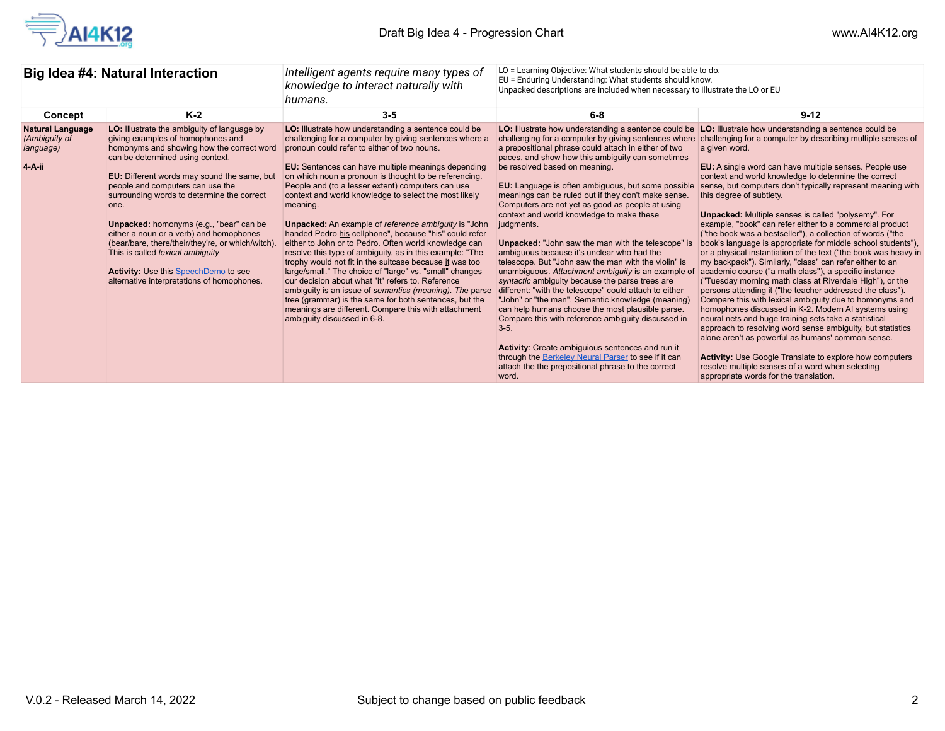

| Big Idea #4: Natural Interaction                                |                                                                                                                                                                                                                                                                                                                                                                                                                                                                                                                                                                                               | Intelligent agents require many types of<br>knowledge to interact naturally with<br>humans.                                                                                                                                                                                                                                                                                                                                                                                                                                                                                                                                                                                                                                                                                                                                                                                                                                                                                                                                                 | LO = Learning Objective: What students should be able to do.<br>EU = Enduring Understanding: What students should know.<br>Unpacked descriptions are included when necessary to illustrate the LO or EU                                                                                                                                                                                                                                                                                                                                                                                                                                                                                                                                                                                                                                                                                                                                                                                                                                                                                                                                                                                  |                                                                                                                                                                                                                                                                                                                                                                                                                                                                                                                                                                                                                                                                                                                                                                                                                                                                                                                                                                                                                                                                                                                                                                                                                                                                                                                                                                                           |
|-----------------------------------------------------------------|-----------------------------------------------------------------------------------------------------------------------------------------------------------------------------------------------------------------------------------------------------------------------------------------------------------------------------------------------------------------------------------------------------------------------------------------------------------------------------------------------------------------------------------------------------------------------------------------------|---------------------------------------------------------------------------------------------------------------------------------------------------------------------------------------------------------------------------------------------------------------------------------------------------------------------------------------------------------------------------------------------------------------------------------------------------------------------------------------------------------------------------------------------------------------------------------------------------------------------------------------------------------------------------------------------------------------------------------------------------------------------------------------------------------------------------------------------------------------------------------------------------------------------------------------------------------------------------------------------------------------------------------------------|------------------------------------------------------------------------------------------------------------------------------------------------------------------------------------------------------------------------------------------------------------------------------------------------------------------------------------------------------------------------------------------------------------------------------------------------------------------------------------------------------------------------------------------------------------------------------------------------------------------------------------------------------------------------------------------------------------------------------------------------------------------------------------------------------------------------------------------------------------------------------------------------------------------------------------------------------------------------------------------------------------------------------------------------------------------------------------------------------------------------------------------------------------------------------------------|-------------------------------------------------------------------------------------------------------------------------------------------------------------------------------------------------------------------------------------------------------------------------------------------------------------------------------------------------------------------------------------------------------------------------------------------------------------------------------------------------------------------------------------------------------------------------------------------------------------------------------------------------------------------------------------------------------------------------------------------------------------------------------------------------------------------------------------------------------------------------------------------------------------------------------------------------------------------------------------------------------------------------------------------------------------------------------------------------------------------------------------------------------------------------------------------------------------------------------------------------------------------------------------------------------------------------------------------------------------------------------------------|
| Concept                                                         | $K-2$                                                                                                                                                                                                                                                                                                                                                                                                                                                                                                                                                                                         | $3 - 5$                                                                                                                                                                                                                                                                                                                                                                                                                                                                                                                                                                                                                                                                                                                                                                                                                                                                                                                                                                                                                                     | $6 - 8$                                                                                                                                                                                                                                                                                                                                                                                                                                                                                                                                                                                                                                                                                                                                                                                                                                                                                                                                                                                                                                                                                                                                                                                  | $9 - 12$                                                                                                                                                                                                                                                                                                                                                                                                                                                                                                                                                                                                                                                                                                                                                                                                                                                                                                                                                                                                                                                                                                                                                                                                                                                                                                                                                                                  |
| <b>Natural Language</b><br>(Ambiguity of<br>language)<br>4-A-ii | LO: Illustrate the ambiguity of language by<br>giving examples of homophones and<br>homonyms and showing how the correct word<br>can be determined using context.<br>EU: Different words may sound the same, but<br>people and computers can use the<br>surrounding words to determine the correct<br>one.<br><b>Unpacked:</b> homonyms (e.g., "bear" can be<br>either a noun or a verb) and homophones<br>(bear/bare, there/their/they're, or which/witch).<br>This is called lexical ambiguity<br><b>Activity:</b> Use this SpeechDemo to see<br>alternative interpretations of homophones. | LO: Illustrate how understanding a sentence could be<br>challenging for a computer by giving sentences where a<br>pronoun could refer to either of two nouns.<br>EU: Sentences can have multiple meanings depending<br>on which noun a pronoun is thought to be referencing.<br>People and (to a lesser extent) computers can use<br>context and world knowledge to select the most likely<br>meaning.<br><b>Unpacked:</b> An example of reference ambiguity is "John<br>handed Pedro his cellphone", because "his" could refer<br>either to John or to Pedro. Often world knowledge can<br>resolve this type of ambiguity, as in this example: "The<br>trophy would not fit in the suitcase because it was too<br>large/small." The choice of "large" vs. "small" changes<br>our decision about what "it" refers to. Reference<br>ambiquity is an issue of semantics (meaning). The parse<br>tree (grammar) is the same for both sentences, but the<br>meanings are different. Compare this with attachment<br>ambiquity discussed in 6-8. | LO: Illustrate how understanding a sentence could be<br>challenging for a computer by giving sentences where<br>a prepositional phrase could attach in either of two<br>paces, and show how this ambiguity can sometimes<br>be resolved based on meaning.<br><b>EU:</b> Language is often ambiguous, but some possible<br>meanings can be ruled out if they don't make sense.<br>Computers are not yet as good as people at using<br>context and world knowledge to make these<br>judgments.<br><b>Unpacked:</b> "John saw the man with the telescope" is<br>ambiquous because it's unclear who had the<br>telescope. But "John saw the man with the violin" is<br>unambiguous. Attachment ambiguity is an example of<br>syntactic ambiquity because the parse trees are<br>different: "with the telescope" could attach to either<br>"John" or "the man". Semantic knowledge (meaning)<br>can help humans choose the most plausible parse.<br>Compare this with reference ambiquity discussed in<br>$3 - 5$ .<br>Activity: Create ambiguious sentences and run it<br>through the Berkeley Neural Parser to see if it can<br>attach the the prepositional phrase to the correct<br>word. | LO: Illustrate how understanding a sentence could be<br>challenging for a computer by describing multiple senses of<br>a given word.<br>EU: A single word can have multiple senses. People use<br>context and world knowledge to determine the correct<br>sense, but computers don't typically represent meaning with<br>this degree of subtlety.<br><b>Unpacked:</b> Multiple senses is called "polysemy". For<br>example, "book" can refer either to a commercial product<br>("the book was a bestseller"), a collection of words ("the<br>book's language is appropriate for middle school students").<br>or a physical instantiation of the text ("the book was heavy in<br>my backpack"). Similarly, "class" can refer either to an<br>academic course ("a math class"), a specific instance<br>("Tuesday morning math class at Riverdale High"), or the<br>persons attending it ("the teacher addressed the class").<br>Compare this with lexical ambiguity due to homonyms and<br>homophones discussed in K-2. Modern AI systems using<br>neural nets and huge training sets take a statistical<br>approach to resolving word sense ambiguity, but statistics<br>alone aren't as powerful as humans' common sense.<br><b>Activity:</b> Use Google Translate to explore how computers<br>resolve multiple senses of a word when selecting<br>appropriate words for the translation. |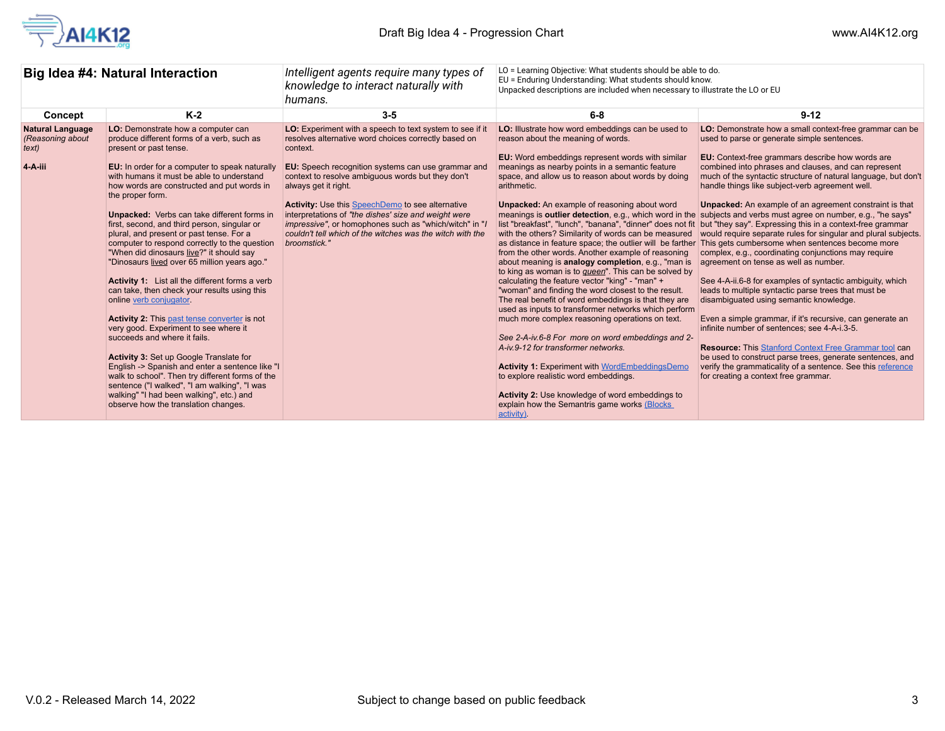

| Big Idea #4: Natural Interaction                                |                                                                                                                                                                                                                                                                                                                                                                                                                                                                                                                                                                                                                                                                                                                                                                                                                                                                                                                                                                                                                                                                                                                                       | LO = Learning Objective: What students should be able to do.<br>Intelligent agents require many types of<br>EU = Enduring Understanding: What students should know.<br>knowledge to interact naturally with<br>Unpacked descriptions are included when necessary to illustrate the LO or EU<br>humans.                                                                                                                                                                                                                            |                                                                                                                                                                                                                                                                                                                                                                                                                                                                                                                                                                                                                                                                                                                                                                                                                                                                                                                                                                                                                                                                                                                                                                    |                                                                                                                                                                                                                                                                                                                                                                                                                                                                                                                                                                                                                                                                                                                                                                                                                                                                                                                                                                                                                                                                                                                                                                                                                                                                                                                                                                                                                                                                        |
|-----------------------------------------------------------------|---------------------------------------------------------------------------------------------------------------------------------------------------------------------------------------------------------------------------------------------------------------------------------------------------------------------------------------------------------------------------------------------------------------------------------------------------------------------------------------------------------------------------------------------------------------------------------------------------------------------------------------------------------------------------------------------------------------------------------------------------------------------------------------------------------------------------------------------------------------------------------------------------------------------------------------------------------------------------------------------------------------------------------------------------------------------------------------------------------------------------------------|-----------------------------------------------------------------------------------------------------------------------------------------------------------------------------------------------------------------------------------------------------------------------------------------------------------------------------------------------------------------------------------------------------------------------------------------------------------------------------------------------------------------------------------|--------------------------------------------------------------------------------------------------------------------------------------------------------------------------------------------------------------------------------------------------------------------------------------------------------------------------------------------------------------------------------------------------------------------------------------------------------------------------------------------------------------------------------------------------------------------------------------------------------------------------------------------------------------------------------------------------------------------------------------------------------------------------------------------------------------------------------------------------------------------------------------------------------------------------------------------------------------------------------------------------------------------------------------------------------------------------------------------------------------------------------------------------------------------|------------------------------------------------------------------------------------------------------------------------------------------------------------------------------------------------------------------------------------------------------------------------------------------------------------------------------------------------------------------------------------------------------------------------------------------------------------------------------------------------------------------------------------------------------------------------------------------------------------------------------------------------------------------------------------------------------------------------------------------------------------------------------------------------------------------------------------------------------------------------------------------------------------------------------------------------------------------------------------------------------------------------------------------------------------------------------------------------------------------------------------------------------------------------------------------------------------------------------------------------------------------------------------------------------------------------------------------------------------------------------------------------------------------------------------------------------------------------|
| Concept                                                         | $K-2$                                                                                                                                                                                                                                                                                                                                                                                                                                                                                                                                                                                                                                                                                                                                                                                                                                                                                                                                                                                                                                                                                                                                 | $3 - 5$                                                                                                                                                                                                                                                                                                                                                                                                                                                                                                                           | $6 - 8$                                                                                                                                                                                                                                                                                                                                                                                                                                                                                                                                                                                                                                                                                                                                                                                                                                                                                                                                                                                                                                                                                                                                                            | $9 - 12$                                                                                                                                                                                                                                                                                                                                                                                                                                                                                                                                                                                                                                                                                                                                                                                                                                                                                                                                                                                                                                                                                                                                                                                                                                                                                                                                                                                                                                                               |
| <b>Natural Language</b><br>(Reasoning about<br>text)<br>4-A-iii | LO: Demonstrate how a computer can<br>produce different forms of a verb, such as<br>present or past tense.<br>EU: In order for a computer to speak naturally<br>with humans it must be able to understand<br>how words are constructed and put words in<br>the proper form.<br><b>Unpacked:</b> Verbs can take different forms in<br>first, second, and third person, singular or<br>plural, and present or past tense. For a<br>computer to respond correctly to the question<br>"When did dinosaurs live?" it should say<br>"Dinosaurs lived over 65 million years ago."<br><b>Activity 1:</b> List all the different forms a verb<br>can take, then check your results using this<br>online verb conjugator.<br><b>Activity 2:</b> This past tense converter is not<br>very good. Experiment to see where it<br>succeeds and where it fails.<br>Activity 3: Set up Google Translate for<br>English -> Spanish and enter a sentence like "I<br>walk to school". Then try different forms of the<br>sentence ("I walked", "I am walking", "I was<br>walking" "I had been walking", etc.) and<br>observe how the translation changes. | LO: Experiment with a speech to text system to see if it<br>resolves alternative word choices correctly based on<br>context.<br>EU: Speech recognition systems can use grammar and<br>context to resolve ambiguous words but they don't<br>always get it right.<br><b>Activity:</b> Use this SpeechDemo to see alternative<br>interpretations of "the dishes' size and weight were<br><i>impressive"</i> , or homophones such as "which/witch" in "l<br>couldn't tell which of the witches was the witch with the<br>broomstick." | LO: Illustrate how word embeddings can be used to<br>reason about the meaning of words.<br><b>EU:</b> Word embeddings represent words with similar<br>meanings as nearby points in a semantic feature<br>space, and allow us to reason about words by doing<br>arithmetic.<br><b>Unpacked:</b> An example of reasoning about word<br>with the others? Similarity of words can be measured<br>from the other words. Another example of reasoning<br>about meaning is analogy completion, e.g., "man is<br>to king as woman is to <i>gueen</i> ". This can be solved by<br>calculating the feature vector "king" - "man" +<br>"woman" and finding the word closest to the result.<br>The real benefit of word embeddings is that they are<br>used as inputs to transformer networks which perform<br>much more complex reasoning operations on text.<br>See 2-A-iv 6-8 For more on word embeddings and 2-<br>A-iv.9-12 for transformer networks.<br><b>Activity 1: Experiment with WordEmbeddingsDemo</b><br>to explore realistic word embeddings.<br>Activity 2: Use knowledge of word embeddings to<br>explain how the Semantris game works (Blocks)<br>activity). | LO: Demonstrate how a small context-free grammar can be<br>used to parse or generate simple sentences.<br><b>EU:</b> Context-free grammars describe how words are<br>combined into phrases and clauses, and can represent<br>much of the syntactic structure of natural language, but don't<br>handle things like subject-verb agreement well.<br><b>Unpacked:</b> An example of an agreement constraint is that<br>meanings is <b>outlier detection</b> , e.g., which word in the subjects and verbs must agree on number, e.g., "he says"<br>list "breakfast", "lunch", "banana", "dinner" does not fit   but "they say". Expressing this in a context-free grammar<br>would require separate rules for singular and plural subjects.<br>as distance in feature space; the outlier will be farther This gets cumbersome when sentences become more<br>complex, e.g., coordinating conjunctions may require<br>agreement on tense as well as number.<br>See 4-A-ii.6-8 for examples of syntactic ambiguity, which<br>leads to multiple syntactic parse trees that must be<br>disambiquated using semantic knowledge.<br>Even a simple grammar, if it's recursive, can generate an<br>infinite number of sentences; see 4-A-i.3-5.<br><b>Resource:</b> This Stanford Context Free Grammar tool can<br>be used to construct parse trees, generate sentences, and<br>verify the grammaticality of a sentence. See this reference<br>for creating a context free grammar. |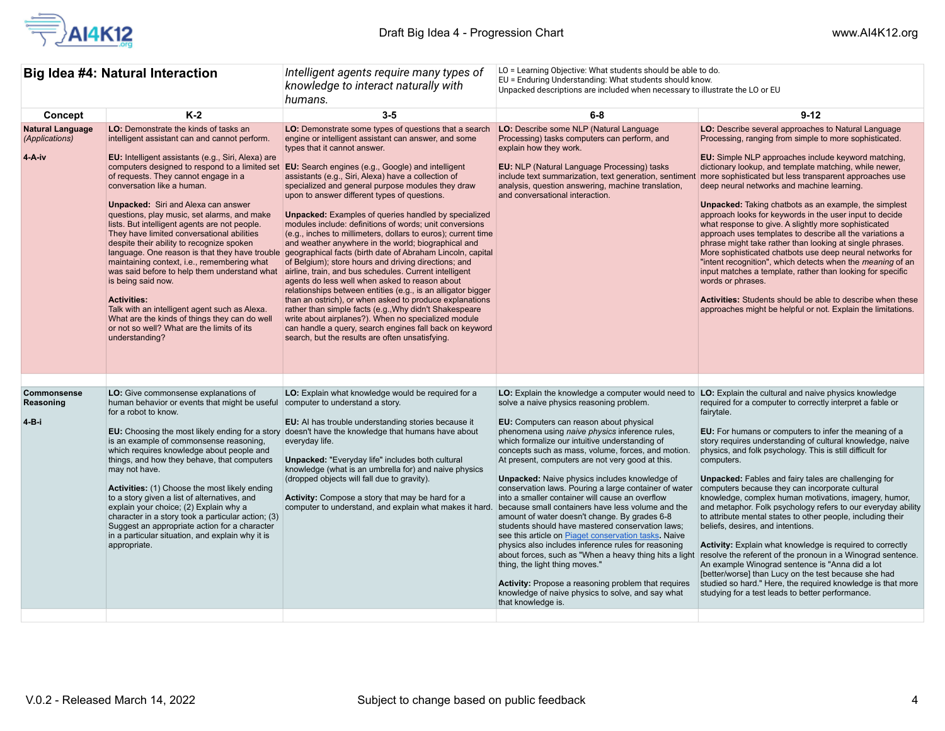

| Big Idea #4: Natural Interaction                    |                                                                                                                                                                                                                                                                                                                                                                                                                                                                                                                                                                                                                                                                                                                                                                                                                                                                                     | Intelligent agents require many types of<br>knowledge to interact naturally with<br>humans.                                                                                                                                                                                                                                                                                                                                                                                                                                                                                                                                                                                                                                                                                                                                                                                                                                                                                                                                                                                                                                                                                                                         | LO = Learning Objective: What students should be able to do.<br>EU = Enduring Understanding: What students should know.<br>Unpacked descriptions are included when necessary to illustrate the LO or EU                                                                                                                                                                                                                                                                                                                                                                                                                                                                                                                                                                                                                                                                                                                                                                                                                            |                                                                                                                                                                                                                                                                                                                                                                                                                                                                                                                                                                                                                                                                                                                                                                                                                                                                                                                                                                                                                                    |
|-----------------------------------------------------|-------------------------------------------------------------------------------------------------------------------------------------------------------------------------------------------------------------------------------------------------------------------------------------------------------------------------------------------------------------------------------------------------------------------------------------------------------------------------------------------------------------------------------------------------------------------------------------------------------------------------------------------------------------------------------------------------------------------------------------------------------------------------------------------------------------------------------------------------------------------------------------|---------------------------------------------------------------------------------------------------------------------------------------------------------------------------------------------------------------------------------------------------------------------------------------------------------------------------------------------------------------------------------------------------------------------------------------------------------------------------------------------------------------------------------------------------------------------------------------------------------------------------------------------------------------------------------------------------------------------------------------------------------------------------------------------------------------------------------------------------------------------------------------------------------------------------------------------------------------------------------------------------------------------------------------------------------------------------------------------------------------------------------------------------------------------------------------------------------------------|------------------------------------------------------------------------------------------------------------------------------------------------------------------------------------------------------------------------------------------------------------------------------------------------------------------------------------------------------------------------------------------------------------------------------------------------------------------------------------------------------------------------------------------------------------------------------------------------------------------------------------------------------------------------------------------------------------------------------------------------------------------------------------------------------------------------------------------------------------------------------------------------------------------------------------------------------------------------------------------------------------------------------------|------------------------------------------------------------------------------------------------------------------------------------------------------------------------------------------------------------------------------------------------------------------------------------------------------------------------------------------------------------------------------------------------------------------------------------------------------------------------------------------------------------------------------------------------------------------------------------------------------------------------------------------------------------------------------------------------------------------------------------------------------------------------------------------------------------------------------------------------------------------------------------------------------------------------------------------------------------------------------------------------------------------------------------|
| Concept                                             | $K-2$                                                                                                                                                                                                                                                                                                                                                                                                                                                                                                                                                                                                                                                                                                                                                                                                                                                                               | $3-5$                                                                                                                                                                                                                                                                                                                                                                                                                                                                                                                                                                                                                                                                                                                                                                                                                                                                                                                                                                                                                                                                                                                                                                                                               | $6-8$                                                                                                                                                                                                                                                                                                                                                                                                                                                                                                                                                                                                                                                                                                                                                                                                                                                                                                                                                                                                                              | $9 - 12$                                                                                                                                                                                                                                                                                                                                                                                                                                                                                                                                                                                                                                                                                                                                                                                                                                                                                                                                                                                                                           |
| <b>Natural Language</b><br>(Applications)<br>4-A-iv | LO: Demonstrate the kinds of tasks an<br>intelligent assistant can and cannot perform.<br><b>EU:</b> Intelligent assistants (e.g., Siri, Alexa) are<br>computers designed to respond to a limited set<br>of requests. They cannot engage in a<br>conversation like a human.<br><b>Unpacked:</b> Siri and Alexa can answer<br>questions, play music, set alarms, and make<br>lists. But intelligent agents are not people.<br>They have limited conversational abilities<br>despite their ability to recognize spoken<br>language. One reason is that they have trouble<br>maintaining context, i.e., remembering what<br>was said before to help them understand what<br>is being said now.<br><b>Activities:</b><br>Talk with an intelligent agent such as Alexa.<br>What are the kinds of things they can do well<br>or not so well? What are the limits of its<br>understanding? | LO: Demonstrate some types of questions that a search<br>engine or intelligent assistant can answer, and some<br>types that it cannot answer.<br><b>EU:</b> Search engines (e.g., Google) and intelligent<br>assistants (e.g., Siri, Alexa) have a collection of<br>specialized and general purpose modules they draw<br>upon to answer different types of questions.<br><b>Unpacked:</b> Examples of queries handled by specialized<br>modules include: definitions of words; unit conversions<br>(e.g., inches to millimeters, dollars to euros); current time<br>and weather anywhere in the world; biographical and<br>geographical facts (birth date of Abraham Lincoln, capital<br>of Belgium); store hours and driving directions; and<br>airline, train, and bus schedules. Current intelligent<br>agents do less well when asked to reason about<br>relationships between entities (e.g., is an alligator bigger<br>than an ostrich), or when asked to produce explanations<br>rather than simple facts (e.g., Why didn't Shakespeare<br>write about airplanes?). When no specialized module<br>can handle a query, search engines fall back on keyword<br>search, but the results are often unsatisfying. | LO: Describe some NLP (Natural Language<br>Processing) tasks computers can perform, and<br>explain how they work.<br><b>EU:</b> NLP (Natural Language Processing) tasks<br>include text summarization, text generation, sentimer<br>analysis, question answering, machine translation,<br>and conversational interaction.                                                                                                                                                                                                                                                                                                                                                                                                                                                                                                                                                                                                                                                                                                          | LO: Describe several approaches to Natural Language<br>Processing, ranging from simple to more sophisticated.<br><b>EU:</b> Simple NLP approaches include keyword matching,<br>dictionary lookup, and template matching, while newer,<br>more sophisticated but less transparent approaches use<br>deep neural networks and machine learning.<br><b>Unpacked:</b> Taking chatbots as an example, the simplest<br>approach looks for keywords in the user input to decide<br>what response to give. A slightly more sophisticated<br>approach uses templates to describe all the variations a<br>phrase might take rather than looking at single phrases.<br>More sophisticated chatbots use deep neural networks for<br>"intent recognition", which detects when the <i>meaning</i> of an<br>input matches a template, rather than looking for specific<br>words or phrases.<br><b>Activities:</b> Students should be able to describe when these<br>approaches might be helpful or not. Explain the limitations.                  |
|                                                     |                                                                                                                                                                                                                                                                                                                                                                                                                                                                                                                                                                                                                                                                                                                                                                                                                                                                                     |                                                                                                                                                                                                                                                                                                                                                                                                                                                                                                                                                                                                                                                                                                                                                                                                                                                                                                                                                                                                                                                                                                                                                                                                                     |                                                                                                                                                                                                                                                                                                                                                                                                                                                                                                                                                                                                                                                                                                                                                                                                                                                                                                                                                                                                                                    |                                                                                                                                                                                                                                                                                                                                                                                                                                                                                                                                                                                                                                                                                                                                                                                                                                                                                                                                                                                                                                    |
| Commonsense<br>Reasoning<br>4-B-i                   | LO: Give commonsense explanations of<br>human behavior or events that might be useful<br>for a robot to know.<br>EU: Choosing the most likely ending for a story<br>is an example of commonsense reasoning,<br>which requires knowledge about people and<br>things, and how they behave, that computers<br>may not have.<br>Activities: (1) Choose the most likely ending<br>to a story given a list of alternatives, and<br>explain your choice; (2) Explain why a<br>character in a story took a particular action; (3)<br>Suggest an appropriate action for a character<br>in a particular situation, and explain why it is<br>appropriate.                                                                                                                                                                                                                                      | LO: Explain what knowledge would be required for a<br>computer to understand a story.<br><b>EU:</b> Al has trouble understanding stories because it<br>doesn't have the knowledge that humans have about<br>everyday life.<br><b>Unpacked: "Everyday life" includes both cultural</b><br>knowledge (what is an umbrella for) and naive physics<br>(dropped objects will fall due to gravity).<br>Activity: Compose a story that may be hard for a<br>computer to understand, and explain what makes it hard.                                                                                                                                                                                                                                                                                                                                                                                                                                                                                                                                                                                                                                                                                                        | LO: Explain the knowledge a computer would need to<br>solve a naive physics reasoning problem.<br>EU: Computers can reason about physical<br>phenomena using naive physics inference rules,<br>which formalize our intuitive understanding of<br>concepts such as mass, volume, forces, and motion.<br>At present, computers are not very good at this.<br>Unpacked: Naive physics includes knowledge of<br>conservation laws. Pouring a large container of water<br>into a smaller container will cause an overflow<br>because small containers have less volume and the<br>amount of water doesn't change. By grades 6-8<br>students should have mastered conservation laws;<br>see this article on <b>Piaget</b> conservation tasks. Naive<br>physics also includes inference rules for reasoning<br>about forces, such as "When a heavy thing hits a light<br>thing, the light thing moves."<br>Activity: Propose a reasoning problem that requires<br>knowledge of naive physics to solve, and say what<br>that knowledge is. | LO: Explain the cultural and naive physics knowledge<br>required for a computer to correctly interpret a fable or<br>fairytale.<br>EU: For humans or computers to infer the meaning of a<br>story requires understanding of cultural knowledge, naive<br>physics, and folk psychology. This is still difficult for<br>computers.<br>Unpacked: Fables and fairy tales are challenging for<br>computers because they can incorporate cultural<br>knowledge, complex human motivations, imagery, humor,<br>and metaphor. Folk psychology refers to our everyday ability<br>to attribute mental states to other people, including their<br>beliefs, desires, and intentions.<br>Activity: Explain what knowledge is required to correctly<br>resolve the referent of the pronoun in a Winograd sentence.<br>An example Winograd sentence is "Anna did a lot<br>[better/worse] than Lucy on the test because she had<br>studied so hard." Here, the required knowledge is that more<br>studying for a test leads to better performance. |
|                                                     |                                                                                                                                                                                                                                                                                                                                                                                                                                                                                                                                                                                                                                                                                                                                                                                                                                                                                     |                                                                                                                                                                                                                                                                                                                                                                                                                                                                                                                                                                                                                                                                                                                                                                                                                                                                                                                                                                                                                                                                                                                                                                                                                     |                                                                                                                                                                                                                                                                                                                                                                                                                                                                                                                                                                                                                                                                                                                                                                                                                                                                                                                                                                                                                                    |                                                                                                                                                                                                                                                                                                                                                                                                                                                                                                                                                                                                                                                                                                                                                                                                                                                                                                                                                                                                                                    |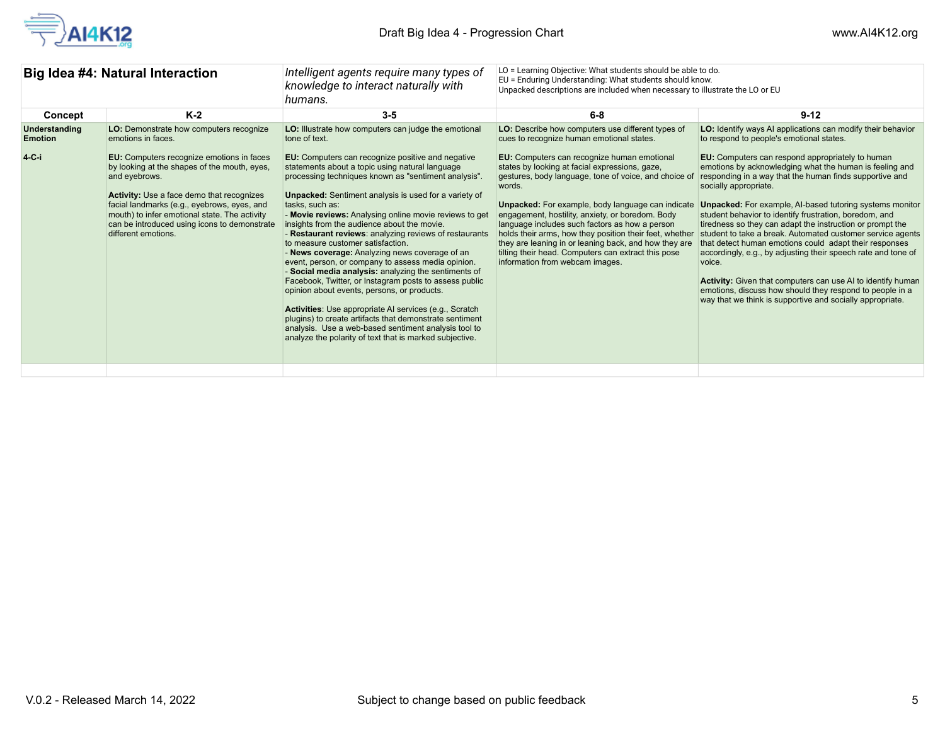

| Big Idea #4: Natural Interaction           |                                                                                                                                                                                                                                                                                                                                                                                                        | Intelligent agents require many types of<br>knowledge to interact naturally with<br>humans.                                                                                                                                                                                                                                                                                                                                                                                                                                                                                                                                                                                                      | LO = Learning Objective: What students should be able to do.<br>EU = Enduring Understanding: What students should know.<br>Unpacked descriptions are included when necessary to illustrate the LO or EU                                                                                                                                                                                                                                                                                                                                                                                                                                     |                                                                                                                                                                                                                                                                                                                                                                                                                                                                                                                                                                                                                                                                                                         |
|--------------------------------------------|--------------------------------------------------------------------------------------------------------------------------------------------------------------------------------------------------------------------------------------------------------------------------------------------------------------------------------------------------------------------------------------------------------|--------------------------------------------------------------------------------------------------------------------------------------------------------------------------------------------------------------------------------------------------------------------------------------------------------------------------------------------------------------------------------------------------------------------------------------------------------------------------------------------------------------------------------------------------------------------------------------------------------------------------------------------------------------------------------------------------|---------------------------------------------------------------------------------------------------------------------------------------------------------------------------------------------------------------------------------------------------------------------------------------------------------------------------------------------------------------------------------------------------------------------------------------------------------------------------------------------------------------------------------------------------------------------------------------------------------------------------------------------|---------------------------------------------------------------------------------------------------------------------------------------------------------------------------------------------------------------------------------------------------------------------------------------------------------------------------------------------------------------------------------------------------------------------------------------------------------------------------------------------------------------------------------------------------------------------------------------------------------------------------------------------------------------------------------------------------------|
| Concept                                    | $K-2$                                                                                                                                                                                                                                                                                                                                                                                                  | $3 - 5$                                                                                                                                                                                                                                                                                                                                                                                                                                                                                                                                                                                                                                                                                          | $6 - 8$                                                                                                                                                                                                                                                                                                                                                                                                                                                                                                                                                                                                                                     | $9 - 12$                                                                                                                                                                                                                                                                                                                                                                                                                                                                                                                                                                                                                                                                                                |
| Understanding<br><b>Emotion</b><br>$4-C-i$ | LO: Demonstrate how computers recognize<br>emotions in faces.<br>EU: Computers recognize emotions in faces<br>by looking at the shapes of the mouth, eyes,<br>and eyebrows.<br><b>Activity:</b> Use a face demo that recognizes<br>facial landmarks (e.g., eyebrows, eyes, and<br>mouth) to infer emotional state. The activity<br>can be introduced using icons to demonstrate<br>different emotions. | LO: Illustrate how computers can judge the emotional<br>tone of text.<br>EU: Computers can recognize positive and negative<br>statements about a topic using natural language<br>processing techniques known as "sentiment analysis".<br><b>Unpacked:</b> Sentiment analysis is used for a variety of<br>tasks, such as:<br>- Movie reviews: Analysing online movie reviews to get<br>insights from the audience about the movie.<br>- Restaurant reviews: analyzing reviews of restaurants<br>to measure customer satisfaction.<br>- News coverage: Analyzing news coverage of an<br>event, person, or company to assess media opinion.<br>- Social media analysis: analyzing the sentiments of | LO: Describe how computers use different types of<br>cues to recognize human emotional states.<br>EU: Computers can recognize human emotional<br>states by looking at facial expressions, gaze,<br>gestures, body language, tone of voice, and choice of<br>words.<br>Unpacked: For example, body language can indicate<br>engagement, hostility, anxiety, or boredom. Body<br>language includes such factors as how a person<br>holds their arms, how they position their feet, whether<br>they are leaning in or leaning back, and how they are<br>tilting their head. Computers can extract this pose<br>information from webcam images. | LO: Identify ways AI applications can modify their behavior<br>to respond to people's emotional states.<br>EU: Computers can respond appropriately to human<br>emotions by acknowledging what the human is feeling and<br>responding in a way that the human finds supportive and<br>socially appropriate.<br><b>Unpacked:</b> For example, AI-based tutoring systems monitor<br>student behavior to identify frustration, boredom, and<br>tiredness so they can adapt the instruction or prompt the<br>student to take a break. Automated customer service agents<br>that detect human emotions could adapt their responses<br>accordingly, e.g., by adjusting their speech rate and tone of<br>voice. |
|                                            |                                                                                                                                                                                                                                                                                                                                                                                                        | Facebook, Twitter, or Instagram posts to assess public<br>opinion about events, persons, or products.<br>Activities: Use appropriate AI services (e.g., Scratch<br>plugins) to create artifacts that demonstrate sentiment<br>analysis. Use a web-based sentiment analysis tool to<br>analyze the polarity of text that is marked subjective.                                                                                                                                                                                                                                                                                                                                                    |                                                                                                                                                                                                                                                                                                                                                                                                                                                                                                                                                                                                                                             | Activity: Given that computers can use AI to identify human<br>emotions, discuss how should they respond to people in a<br>way that we think is supportive and socially appropriate.                                                                                                                                                                                                                                                                                                                                                                                                                                                                                                                    |